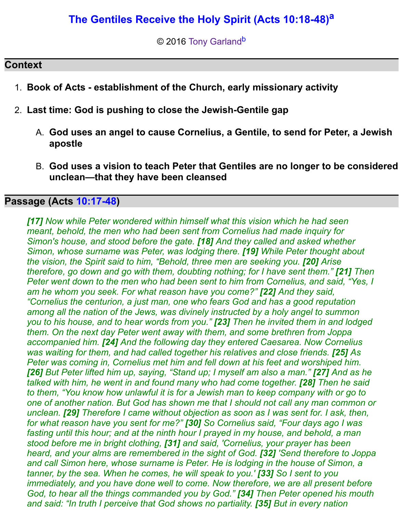# **[The Gentiles Receive the Holy Spirit \(Acts 10:18-48\)](http://www.spiritandtruth.org/teaching/Acts_by_Tony_Garland/33_Acts_10_18-48/index.htm)[a](http://www.spiritandtruth.org/teaching/Acts_by_Tony_Garland/33_Acts_10_18-48/20151213_Acts_10_18-48.html?x=x#a2)**

© 2016 [Tony Garland](http://www.spiritandtruth.org/id/tg.htm)<sup>[b](http://www.spiritandtruth.org/teaching/Acts_by_Tony_Garland/33_Acts_10_18-48/20151213_Acts_10_18-48.html?x=x#b2)</sup>

# **Context**

- 1. **Book of Acts establishment of the Church, early missionary activity**
- 2. **Last time: God is pushing to close the Jewish-Gentile gap**
	- A. **God uses an angel to cause Cornelius, a Gentile, to send for Peter, a Jewish apostle**
	- B. **God uses a vision to teach Peter that Gentiles are no longer to be considered unclean—that they have been cleansed**

## **Passage (Acts [10:17-48\)](http://www.spiritandtruth.org/bibles/nasb/b44c010.htm#Acts_C10V17)**

*[17] Now while Peter wondered within himself what this vision which he had seen meant, behold, the men who had been sent from Cornelius had made inquiry for Simon's house, and stood before the gate. [18] And they called and asked whether Simon, whose surname was Peter, was lodging there. [19] While Peter thought about the vision, the Spirit said to him, "Behold, three men are seeking you. [20] Arise therefore, go down and go with them, doubting nothing; for I have sent them." [21] Then Peter went down to the men who had been sent to him from Cornelius, and said, "Yes, I am he whom you seek. For what reason have you come?" [22] And they said, "Cornelius the centurion, a just man, one who fears God and has a good reputation among all the nation of the Jews, was divinely instructed by a holy angel to summon you to his house, and to hear words from you." [23] Then he invited them in and lodged them. On the next day Peter went away with them, and some brethren from Joppa accompanied him. [24] And the following day they entered Caesarea. Now Cornelius was waiting for them, and had called together his relatives and close friends.* [25] As *Peter was coming in, Cornelius met him and fell down at his feet and worshiped him. [26] But Peter lifted him up, saying, "Stand up; I myself am also a man." [27] And as he talked with him, he went in and found many who had come together. [28] Then he said to them, "You know how unlawful it is for a Jewish man to keep company with or go to one of another nation. But God has shown me that I should not call any man common or unclean. [29] Therefore I came without objection as soon as I was sent for. I ask, then, for what reason have you sent for me?" [30] So Cornelius said, "Four days ago I was fasting until this hour; and at the ninth hour I prayed in my house, and behold, a man stood before me in bright clothing, [31] and said, 'Cornelius, your prayer has been heard, and your alms are remembered in the sight of God. [32] 'Send therefore to Joppa and call Simon here, whose surname is Peter. He is lodging in the house of Simon, a tanner, by the sea. When he comes, he will speak to you.' [33] So I sent to you immediately, and you have done well to come. Now therefore, we are all present before God, to hear all the things commanded you by God." [34] Then Peter opened his mouth and said: "In truth I perceive that God shows no partiality. [35] But in every nation*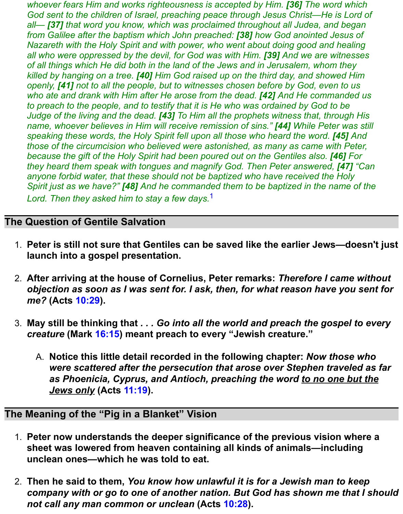*whoever fears Him and works righteousness is accepted by Him. [36] The word which God sent to the children of Israel, preaching peace through Jesus Christ—He is Lord of all— [37] that word you know, which was proclaimed throughout all Judea, and began from Galilee after the baptism which John preached: [38] how God anointed Jesus of Nazareth with the Holy Spirit and with power, who went about doing good and healing all who were oppressed by the devil, for God was with Him. [39] And we are witnesses of all things which He did both in the land of the Jews and in Jerusalem, whom they killed by hanging on a tree. [40] Him God raised up on the third day, and showed Him openly, [41] not to all the people, but to witnesses chosen before by God, even to us who ate and drank with Him after He arose from the dead. [42] And He commanded us to preach to the people, and to testify that it is He who was ordained by God to be Judge of the living and the dead. [43] To Him all the prophets witness that, through His name, whoever believes in Him will receive remission of sins." [44] While Peter was still speaking these words, the Holy Spirit fell upon all those who heard the word.* [45] And *those of the circumcision who believed were astonished, as many as came with Peter, because the gift of the Holy Spirit had been poured out on the Gentiles also.* [46] For *they heard them speak with tongues and magnify God. Then Peter answered, [47] "Can anyone forbid water, that these should not be baptized who have received the Holy Spirit just as we have?" [48] And he commanded them to be baptized in the name of the Lord. Then they asked him to stay a few days.*[1](http://www.spiritandtruth.org/teaching/Acts_by_Tony_Garland/33_Acts_10_18-48/20151213_Acts_10_18-48.html?x=x#below1)

## **The Question of Gentile Salvation**

- 1. **Peter is still not sure that Gentiles can be saved like the earlier Jews—doesn't just launch into a gospel presentation.**
- 2. **After arriving at the house of Cornelius, Peter remarks:** *Therefore I came without objection as soon as I was sent for. I ask, then, for what reason have you sent for me?* **(Acts [10:29\)](http://www.spiritandtruth.org/bibles/nasb/b44c010.htm#Acts_C10V29).**
- 3. **May still be thinking that** *. . . Go into all the world and preach the gospel to every creature* **(Mark [16:15\)](http://www.spiritandtruth.org/bibles/nasb/b41c016.htm#Mark_C16V15) meant preach to every "Jewish creature."**
	- A. **Notice this little detail recorded in the following chapter:** *Now those who were scattered after the persecution that arose over Stephen traveled as far as Phoenicia, Cyprus, and Antioch, preaching the word to no one but the Jews only* **(Acts [11:19\)](http://www.spiritandtruth.org/bibles/nasb/b44c011.htm#Acts_C11V19).**

## **The Meaning of the "Pig in a Blanket" Vision**

- 1. **Peter now understands the deeper significance of the previous vision where a sheet was lowered from heaven containing all kinds of animals—including unclean ones—which he was told to eat.**
- 2. **Then he said to them,** *You know how unlawful it is for a Jewish man to keep company with or go to one of another nation. But God has shown me that I should not call any man common or unclean* **(Acts [10:28\)](http://www.spiritandtruth.org/bibles/nasb/b44c010.htm#Acts_C10V28).**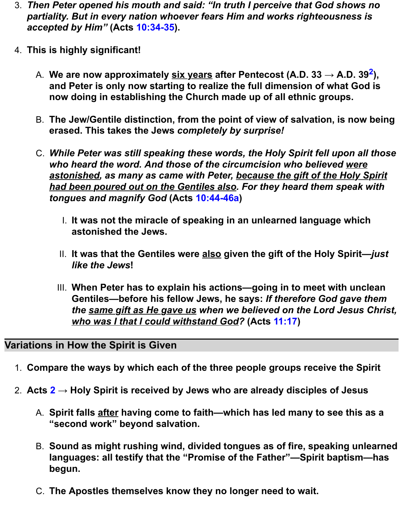- 3. *Then Peter opened his mouth and said: "In truth I perceive that God shows no partiality. But in every nation whoever fears Him and works righteousness is accepted by Him"* **(Acts [10:34-35\)](http://www.spiritandtruth.org/bibles/nasb/b44c010.htm#Acts_C10V34).**
- 4. **This is highly significant!**
	- A. **We are now approximately six years after Pentecost (A.D. 33 → A.D. 39[2](http://www.spiritandtruth.org/teaching/Acts_by_Tony_Garland/33_Acts_10_18-48/20151213_Acts_10_18-48.html?x=x#below2) ), and Peter is only now starting to realize the full dimension of what God is now doing in establishing the Church made up of all ethnic groups.**
	- B. **The Jew/Gentile distinction, from the point of view of salvation, is now being erased. This takes the Jews** *completely by surprise!*
	- C. *While Peter was still speaking these words, the Holy Spirit fell upon all those who heard the word. And those of the circumcision who believed were astonished, as many as came with Peter, because the gift of the Holy Spirit had been poured out on the Gentiles also. For they heard them speak with tongues and magnify God* **(Acts [10:44-46a\)](http://www.spiritandtruth.org/bibles/nasb/b44c010.htm#Acts_C10V44)**
		- I. **It was not the miracle of speaking in an unlearned language which astonished the Jews.**
		- II. **It was that the Gentiles were also given the gift of the Holy Spirit—***just like the Jews***!**
		- III. **When Peter has to explain his actions—going in to meet with unclean Gentiles—before his fellow Jews, he says:** *If therefore God gave them the same gift as He gave us when we believed on the Lord Jesus Christ, who was I that I could withstand God?* **(Acts [11:17\)](http://www.spiritandtruth.org/bibles/nasb/b44c011.htm#Acts_C11V17)**

#### **Variations in How the Spirit is Given**

- 1. **Compare the ways by which each of the three people groups receive the Spirit**
- 2. **Acts [2](http://www.spiritandtruth.org/bibles/nasb/b44c002.htm#Acts_C2V1) → Holy Spirit is received by Jews who are already disciples of Jesus**
	- A. **Spirit falls after having come to faith—which has led many to see this as a "second work" beyond salvation.**
	- B. **Sound as might rushing wind, divided tongues as of fire, speaking unlearned languages: all testify that the "Promise of the Father"—Spirit baptism—has begun.**
	- C. **The Apostles themselves know they no longer need to wait.**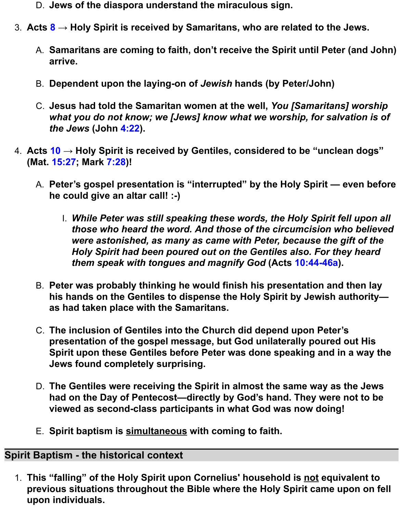- D. **Jews of the diaspora understand the miraculous sign.**
- 3. **Acts [8](http://www.spiritandtruth.org/bibles/nasb/b44c008.htm#Acts_C8V1) → Holy Spirit is received by Samaritans, who are related to the Jews.**
	- A. **Samaritans are coming to faith, don't receive the Spirit until Peter (and John) arrive.**
	- B. **Dependent upon the laying-on of** *Jewish* **hands (by Peter/John)**
	- C. **Jesus had told the Samaritan women at the well,** *You [Samaritans] worship what you do not know; we [Jews] know what we worship, for salvation is of the Jews* **(John [4:22\)](http://www.spiritandtruth.org/bibles/nasb/b43c004.htm#John_C4V22).**
- 4. **Acts [10](http://www.spiritandtruth.org/bibles/nasb/b44c010.htm#Acts_C10V1) → Holy Spirit is received by Gentiles, considered to be "unclean dogs" (Mat. [15:27;](http://www.spiritandtruth.org/bibles/nasb/b40c015.htm#Mat._C15V27) Mark [7:28\)](http://www.spiritandtruth.org/bibles/nasb/b41c007.htm#Mark_C7V28)!**
	- A. **Peter's gospel presentation is "interrupted" by the Holy Spirit even before he could give an altar call! :-)**
		- I. *While Peter was still speaking these words, the Holy Spirit fell upon all those who heard the word. And those of the circumcision who believed were astonished, as many as came with Peter, because the gift of the Holy Spirit had been poured out on the Gentiles also. For they heard them speak with tongues and magnify God* **(Acts [10:44-46a\)](http://www.spiritandtruth.org/bibles/nasb/b44c010.htm#Acts_C10V44).**
	- B. **Peter was probably thinking he would finish his presentation and then lay his hands on the Gentiles to dispense the Holy Spirit by Jewish authority as had taken place with the Samaritans.**
	- C. **The inclusion of Gentiles into the Church did depend upon Peter's presentation of the gospel message, but God unilaterally poured out His Spirit upon these Gentiles before Peter was done speaking and in a way the Jews found completely surprising.**
	- D. **The Gentiles were receiving the Spirit in almost the same way as the Jews had on the Day of Pentecost—directly by God's hand. They were not to be viewed as second-class participants in what God was now doing!**
	- E. **Spirit baptism is simultaneous with coming to faith.**

# **Spirit Baptism - the historical context**

1. **This "falling" of the Holy Spirit upon Cornelius' household is not equivalent to previous situations throughout the Bible where the Holy Spirit came upon on fell upon individuals.**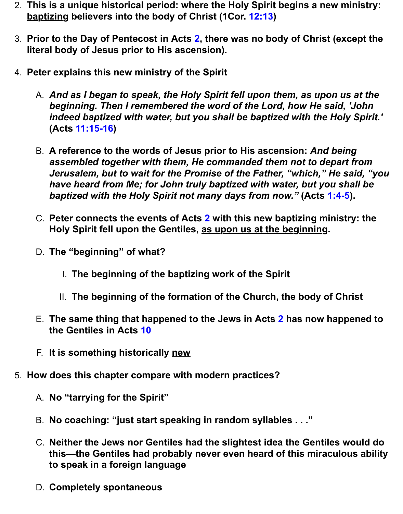- 2. **This is a unique historical period: where the Holy Spirit begins a new ministry: baptizing believers into the body of Christ (1Cor. [12:13\)](http://www.spiritandtruth.org/bibles/nasb/b46c012.htm#1Cor._C12V13)**
- 3. **Prior to the Day of Pentecost in Acts [2,](http://www.spiritandtruth.org/bibles/nasb/b44c002.htm#Acts_C2V1) there was no body of Christ (except the literal body of Jesus prior to His ascension).**
- 4. **Peter explains this new ministry of the Spirit**
	- A. *And as I began to speak, the Holy Spirit fell upon them, as upon us at the beginning. Then I remembered the word of the Lord, how He said, 'John indeed baptized with water, but you shall be baptized with the Holy Spirit.'* **(Acts [11:15-16\)](http://www.spiritandtruth.org/bibles/nasb/b44c011.htm#Acts_C11V15)**
	- B. **A reference to the words of Jesus prior to His ascension:** *And being assembled together with them, He commanded them not to depart from Jerusalem, but to wait for the Promise of the Father, "which," He said, "you have heard from Me; for John truly baptized with water, but you shall be baptized with the Holy Spirit not many days from now."* **(Acts [1:4-5\)](http://www.spiritandtruth.org/bibles/nasb/b44c001.htm#Acts_C1V4).**
	- C. **Peter connects the events of Acts [2](http://www.spiritandtruth.org/bibles/nasb/b44c002.htm#Acts_C2V1) with this new baptizing ministry: the Holy Spirit fell upon the Gentiles, as upon us at the beginning.**
	- D. **The "beginning" of what?**
		- I. **The beginning of the baptizing work of the Spirit**
		- II. **The beginning of the formation of the Church, the body of Christ**
	- E. **The same thing that happened to the Jews in Acts [2](http://www.spiritandtruth.org/bibles/nasb/b44c002.htm#Acts_C2V1) has now happened to the Gentiles in Acts [10](http://www.spiritandtruth.org/bibles/nasb/b44c010.htm#Acts_C10V1)**
	- F. **It is something historically new**
- 5. **How does this chapter compare with modern practices?**
	- A. **No "tarrying for the Spirit"**
	- B. **No coaching: "just start speaking in random syllables . . ."**
	- C. **Neither the Jews nor Gentiles had the slightest idea the Gentiles would do this—the Gentiles had probably never even heard of this miraculous ability to speak in a foreign language**
	- D. **Completely spontaneous**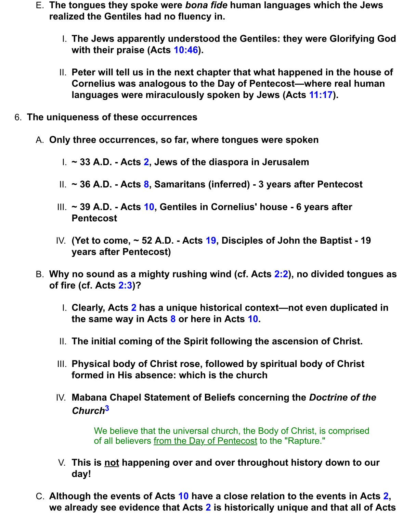- E. **The tongues they spoke were** *bona fide* **human languages which the Jews realized the Gentiles had no fluency in.**
	- I. **The Jews apparently understood the Gentiles: they were Glorifying God with their praise (Acts [10:46\)](http://www.spiritandtruth.org/bibles/nasb/b44c010.htm#Acts_C10V46).**
	- II. **Peter will tell us in the next chapter that what happened in the house of Cornelius was analogous to the Day of Pentecost—where real human languages were miraculously spoken by Jews (Acts [11:17\)](http://www.spiritandtruth.org/bibles/nasb/b44c011.htm#Acts_C11V17).**
- 6. **The uniqueness of these occurrences**
	- A. **Only three occurrences, so far, where tongues were spoken**
		- I. **~ 33 A.D. Acts [2,](http://www.spiritandtruth.org/bibles/nasb/b44c002.htm#Acts_C2V1) Jews of the diaspora in Jerusalem**
		- II. **~ 36 A.D. Acts [8,](http://www.spiritandtruth.org/bibles/nasb/b44c008.htm#Acts_C8V1) Samaritans (inferred) 3 years after Pentecost**
		- III. **~ 39 A.D. Acts [10,](http://www.spiritandtruth.org/bibles/nasb/b44c010.htm#Acts_C10V1) Gentiles in Cornelius' house 6 years after Pentecost**
		- IV. **(Yet to come, ~ 52 A.D. Acts [19,](http://www.spiritandtruth.org/bibles/nasb/b44c019.htm#Acts_C19V1) Disciples of John the Baptist 19 years after Pentecost)**
	- B. **Why no sound as a mighty rushing wind (cf. Acts [2:2\)](http://www.spiritandtruth.org/bibles/nasb/b44c002.htm#Acts_C2V2), no divided tongues as of fire (cf. Acts [2:3\)](http://www.spiritandtruth.org/bibles/nasb/b44c002.htm#Acts_C2V3)?**
		- I. **Clearly, Acts [2](http://www.spiritandtruth.org/bibles/nasb/b44c002.htm#Acts_C2V1) has a unique historical context—not even duplicated in the same way in Acts [8](http://www.spiritandtruth.org/bibles/nasb/b44c008.htm#Acts_C8V1) or here in Acts [10.](http://www.spiritandtruth.org/bibles/nasb/b44c010.htm#Acts_C10V1)**
		- II. **The initial coming of the Spirit following the ascension of Christ.**
		- III. **Physical body of Christ rose, followed by spiritual body of Christ formed in His absence: which is the church**
		- IV. **Mabana Chapel Statement of Beliefs concerning the** *Doctrine of the Church***[3](http://www.spiritandtruth.org/teaching/Acts_by_Tony_Garland/33_Acts_10_18-48/20151213_Acts_10_18-48.html?x=x#below3)**

We believe that the universal church, the Body of Christ, is comprised of all believers from the Day of Pentecost to the "Rapture."

- V. **This is not happening over and over throughout history down to our day!**
- C. **Although the events of Acts [10](http://www.spiritandtruth.org/bibles/nasb/b44c010.htm#Acts_C10V1) have a close relation to the events in Acts [2,](http://www.spiritandtruth.org/bibles/nasb/b44c002.htm#Acts_C2V1) we already see evidence that Acts [2](http://www.spiritandtruth.org/bibles/nasb/b44c002.htm#Acts_C2V1) is historically unique and that all of Acts**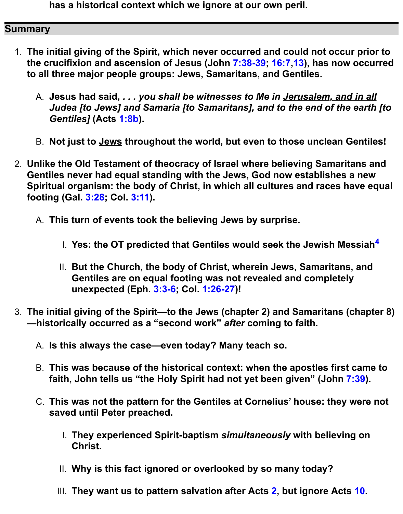**has a historical context which we ignore at our own peril.**

### **Summary**

- 1. **The initial giving of the Spirit, which never occurred and could not occur prior to the crucifixion and ascension of Jesus (John [7:38-39;](http://www.spiritandtruth.org/bibles/nasb/b43c007.htm#John_C7V38) [16:7,](http://www.spiritandtruth.org/bibles/nasb/b43c016.htm#John_C16V7)[13\)](http://www.spiritandtruth.org/bibles/nasb/b43c016.htm#John_C16V13), has now occurred to all three major people groups: Jews, Samaritans, and Gentiles.**
	- A. **Jesus had said,** *. . . you shall be witnesses to Me in Jerusalem, and in all Judea [to Jews] and Samaria [to Samaritans], and to the end of the earth [to Gentiles]* **(Acts [1:8b\)](http://www.spiritandtruth.org/bibles/nasb/b44c001.htm#Acts_C1V8).**
	- B. **Not just to Jews throughout the world, but even to those unclean Gentiles!**
- 2. **Unlike the Old Testament of theocracy of Israel where believing Samaritans and Gentiles never had equal standing with the Jews, God now establishes a new Spiritual organism: the body of Christ, in which all cultures and races have equal footing (Gal. [3:28;](http://www.spiritandtruth.org/bibles/nasb/b48c003.htm#Gal._C3V28) Col. [3:11\)](http://www.spiritandtruth.org/bibles/nasb/b51c003.htm#Col._C3V11).**
	- A. **This turn of events took the believing Jews by surprise.**
		- I. **Yes: the OT predicted that Gentiles would seek the Jewish Messiah[4](http://www.spiritandtruth.org/teaching/Acts_by_Tony_Garland/33_Acts_10_18-48/20151213_Acts_10_18-48.html?x=x#below4)**
		- II. **But the Church, the body of Christ, wherein Jews, Samaritans, and Gentiles are on equal footing was not revealed and completely unexpected (Eph. [3:3-6;](http://www.spiritandtruth.org/bibles/nasb/b49c003.htm#Eph._C3V3) Col. [1:26-27\)](http://www.spiritandtruth.org/bibles/nasb/b51c001.htm#Col._C1V26)!**
- 3. **The initial giving of the Spirit—to the Jews (chapter 2) and Samaritans (chapter 8) —historically occurred as a "second work"** *after* **coming to faith.**
	- A. **Is this always the case—even today? Many teach so.**
	- B. **This was because of the historical context: when the apostles first came to faith, John tells us "the Holy Spirit had not yet been given" (John [7:39\)](http://www.spiritandtruth.org/bibles/nasb/b43c007.htm#John_C7V39).**
	- C. **This was not the pattern for the Gentiles at Cornelius' house: they were not saved until Peter preached.**
		- I. **They experienced Spirit-baptism** *simultaneously* **with believing on Christ.**
		- II. **Why is this fact ignored or overlooked by so many today?**
		- III. **They want us to pattern salvation after Acts [2,](http://www.spiritandtruth.org/bibles/nasb/b44c002.htm#Acts_C2V1) but ignore Acts [10.](http://www.spiritandtruth.org/bibles/nasb/b44c010.htm#Acts_C10V1)**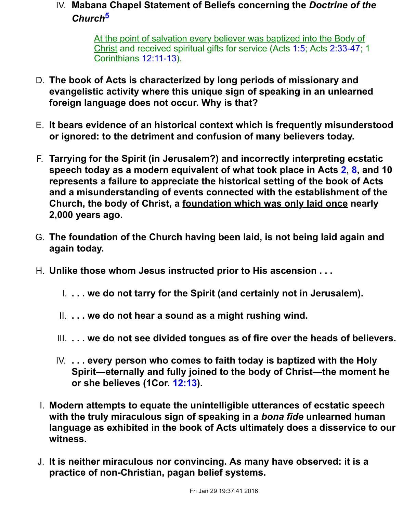## IV. **Mabana Chapel Statement of Beliefs concerning the** *Doctrine of the Church***[5](http://www.spiritandtruth.org/teaching/Acts_by_Tony_Garland/33_Acts_10_18-48/20151213_Acts_10_18-48.html?x=x#below5)**

At the point of salvation every believer was baptized into the Body of Christ and received spiritual gifts for service (Acts [1:5;](http://www.spiritandtruth.org/bibles/nasb/b44c001.htm#Acts_C1V5) Acts [2:33-47;](http://www.spiritandtruth.org/bibles/nasb/b44c002.htm#Acts_C2V33) 1 Corinthians [12:11-13\)](http://www.spiritandtruth.org/bibles/nasb/b46c012.htm#1Cor._C12V11).

- D. **The book of Acts is characterized by long periods of missionary and evangelistic activity where this unique sign of speaking in an unlearned foreign language does not occur. Why is that?**
- E. **It bears evidence of an historical context which is frequently misunderstood or ignored: to the detriment and confusion of many believers today.**
- F. **Tarrying for the Spirit (in Jerusalem?) and incorrectly interpreting ecstatic speech today as a modern equivalent of what took place in Acts [2,](http://www.spiritandtruth.org/bibles/nasb/b44c002.htm#Acts_C2V1) [8,](http://www.spiritandtruth.org/bibles/nasb/b44c008.htm#Acts_C8V1) and 10 represents a failure to appreciate the historical setting of the book of Acts and a misunderstanding of events connected with the establishment of the Church, the body of Christ, a foundation which was only laid once nearly 2,000 years ago.**
- G. **The foundation of the Church having been laid, is not being laid again and again today.**
- H. **Unlike those whom Jesus instructed prior to His ascension . . .**
	- I. **. . . we do not tarry for the Spirit (and certainly not in Jerusalem).**
	- II. **. . . we do not hear a sound as a might rushing wind.**
	- III. **. . . we do not see divided tongues as of fire over the heads of believers.**
	- IV. **. . . every person who comes to faith today is baptized with the Holy Spirit—eternally and fully joined to the body of Christ—the moment he or she believes (1Cor. [12:13\)](http://www.spiritandtruth.org/bibles/nasb/b46c012.htm#1Cor._C12V13).**
- I. **Modern attempts to equate the unintelligible utterances of ecstatic speech with the truly miraculous sign of speaking in a** *bona fide* **unlearned human language as exhibited in the book of Acts ultimately does a disservice to our witness.**
- J. **It is neither miraculous nor convincing. As many have observed: it is a practice of non-Christian, pagan belief systems.**